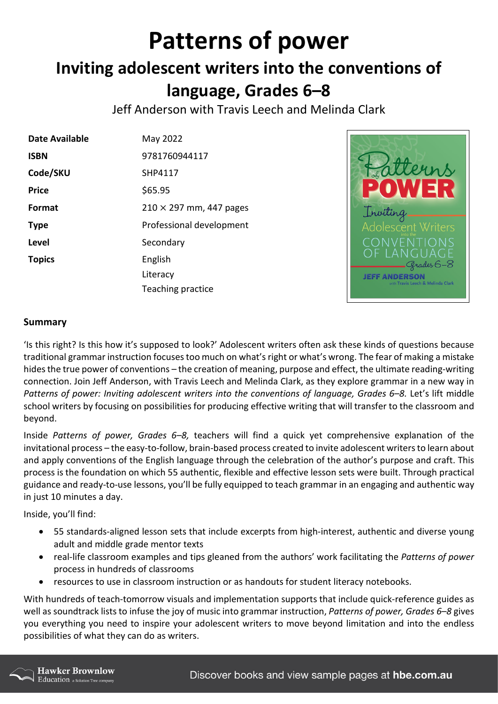## **Patterns of power Inviting adolescent writers into the conventions of language, Grades 6–8**

Jeff Anderson with Travis Leech and Melinda Clark

| Date Available | May 2022                       |
|----------------|--------------------------------|
| <b>ISBN</b>    | 9781760944117                  |
| Code/SKU       | SHP4117                        |
| <b>Price</b>   | \$65.95                        |
| Format         | $210 \times 297$ mm, 447 pages |
| <b>Type</b>    | Professional development       |
| <b>Level</b>   | Secondary                      |
| <b>Topics</b>  | English                        |
|                | Literacy                       |
|                | Teaching practice              |



## **Summary**

'Is this right? Is this how it's supposed to look?' Adolescent writers often ask these kinds of questions because traditional grammar instruction focuses too much on what's right or what's wrong. The fear of making a mistake hides the true power of conventions – the creation of meaning, purpose and effect, the ultimate reading-writing connection. Join Jeff Anderson, with Travis Leech and Melinda Clark, as they explore grammar in a new way in Patterns of power: Inviting adolescent writers into the conventions of language, Grades 6–8. Let's lift middle school writers by focusing on possibilities for producing effective writing that will transfer to the classroom and beyond.

Inside *Patterns of power, Grades 6–8,* teachers will find a quick yet comprehensive explanation of the invitational process – the easy-to-follow, brain-based process created to invite adolescent writers to learn about and apply conventions of the English language through the celebration of the author's purpose and craft. This process is the foundation on which 55 authentic, flexible and effective lesson sets were built. Through practical guidance and ready-to-use lessons, you'll be fully equipped to teach grammar in an engaging and authentic way in just 10 minutes a day.

Inside, you'll find:

- 55 standards-aligned lesson sets that include excerpts from high-interest, authentic and diverse young adult and middle grade mentor texts
- real-life classroom examples and tips gleaned from the authors' work facilitating the *Patterns of power* process in hundreds of classrooms
- resources to use in classroom instruction or as handouts for student literacy notebooks.

With hundreds of teach-tomorrow visuals and implementation supports that include quick-reference guides as well as soundtrack lists to infuse the joy of music into grammar instruction, *Patterns of power, Grades 6–8* gives you everything you need to inspire your adolescent writers to move beyond limitation and into the endless possibilities of what they can do as writers.